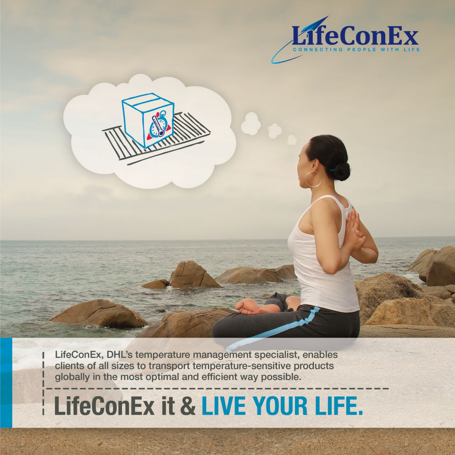



LifeConEx, DHL's temperature management specialist, enables clients of all sizes to transport temperature-sensitive products globally in the most optimal and efficient way possible.

# **LifeConEx it & LIVE YOUR LIFE.**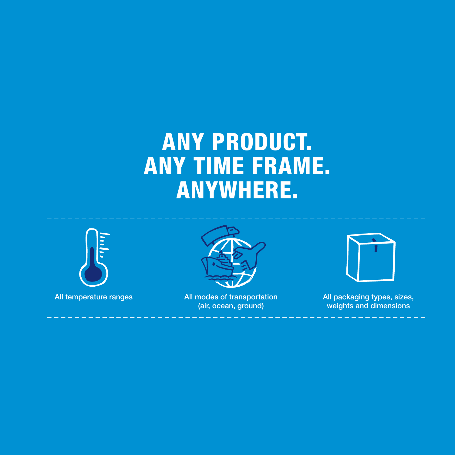## ANY PRODUCT. ANY TIME FRAME. ANYWHERE.





All temperature ranges All modes of transportation (air, ocean, ground)



All packaging types, sizes, weights and dimensions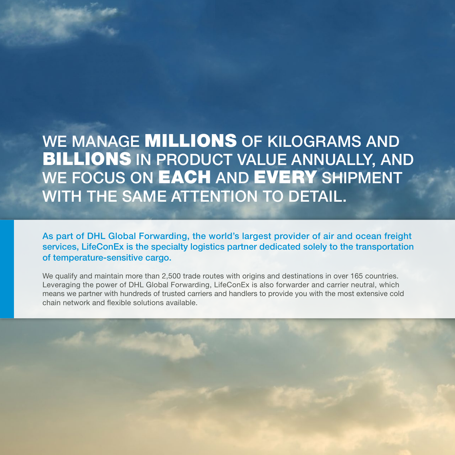WE MANAGE **MILLIONS** OF KILOGRAMS AND BILLIONS IN PRODUCT VALUE ANNUALLY, AND WE FOCUS ON **EACH** AND **EVERY** SHIPMENT WITH THE SAME ATTENTION TO DETAIL.

As part of DHL Global Forwarding, the world's largest provider of air and ocean freight services, LifeConEx is the specialty logistics partner dedicated solely to the transportation of temperature-sensitive cargo.

We qualify and maintain more than 2,500 trade routes with origins and destinations in over 165 countries. Leveraging the power of DHL Global Forwarding, LifeConEx is also forwarder and carrier neutral, which means we partner with hundreds of trusted carriers and handlers to provide you with the most extensive cold chain network and flexible solutions available.

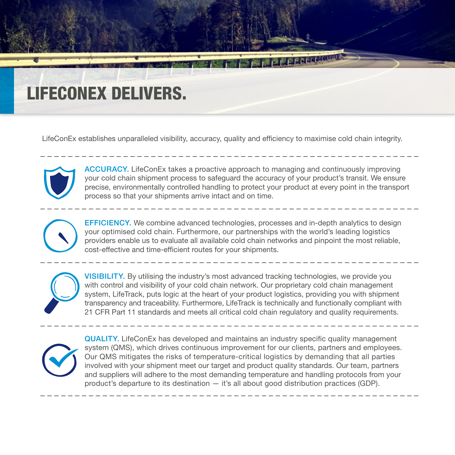## LIFECONEX DELIVERS.

LifeConEx establishes unparalleled visibility, accuracy, quality and efficiency to maximise cold chain integrity.



ACCURACY. LifeConEx takes a proactive approach to managing and continuously improving your cold chain shipment process to safeguard the accuracy of your product's transit. We ensure precise, environmentally controlled handling to protect your product at every point in the transport process so that your shipments arrive intact and on time.

**Expression** 



 EFFICIENCY. We combine advanced technologies, processes and in-depth analytics to design your optimised cold chain. Furthermore, our partnerships with the world's leading logistics providers enable us to evaluate all available cold chain networks and pinpoint the most reliable, cost-effective and time-efficient routes for your shipments.



 VISIBILITY. By utilising the industry's most advanced tracking technologies, we provide you with control and visibility of your cold chain network. Our proprietary cold chain management system, LifeTrack, puts logic at the heart of your product logistics, providing you with shipment transparency and traceability. Furthermore, LifeTrack is technically and functionally compliant with 21 CFR Part 11 standards and meets all critical cold chain regulatory and quality requirements.



 QUALITY. LifeConEx has developed and maintains an industry specific quality management system (QMS), which drives continuous improvement for our clients, partners and employees. Our QMS mitigates the risks of temperature-critical logistics by demanding that all parties involved with your shipment meet our target and product quality standards. Our team, partners and suppliers will adhere to the most demanding temperature and handling protocols from your product's departure to its destination — it's all about good distribution practices (GDP).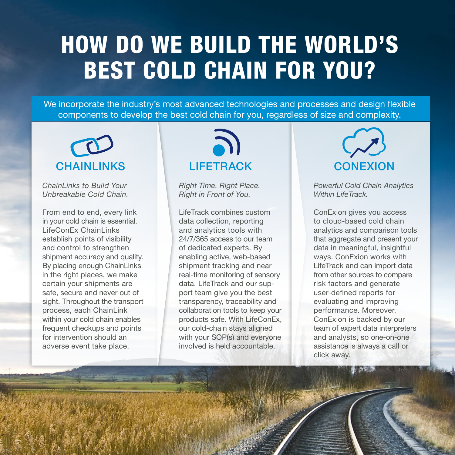## HOW DO WE BUILD THE WORLD'S BEST COLD CHAIN FOR YOU?

We incorporate the industry's most advanced technologies and processes and design flexible components to develop the best cold chain for you, regardless of size and complexity.



*ChainLinks to Build Your Unbreakable Cold Chain.*

From end to end, every link in your cold chain is essential. LifeConEx ChainLinks establish points of visibility and control to strengthen shipment accuracy and quality. By placing enough ChainLinks in the right places, we make certain your shipments are safe, secure and never out of sight. Throughout the transport process, each ChainLink within your cold chain enables frequent checkups and points for intervention should an adverse event take place.



*Right Time. Right Place. Right in Front of You.* 

LifeTrack combines custom data collection, reporting and analytics tools with 24/7/365 access to our team of dedicated experts. By enabling active, web-based shipment tracking and near real-time monitoring of sensory data, LifeTrack and our support team give you the best transparency, traceability and collaboration tools to keep your products safe. With LifeConEx, our cold-chain stays aligned with your SOP(s) and everyone involved is held accountable.



*Powerful Cold Chain Analytics Within LifeTrack.*

ConExion gives you access to cloud-based cold chain analytics and comparison tools that aggregate and present your data in meaningful, insightful ways. ConExion works with LifeTrack and can import data from other sources to compare risk factors and generate user-defined reports for evaluating and improving performance. Moreover, ConExion is backed by our team of expert data interpreters and analysts, so one-on-one assistance is always a call or click away.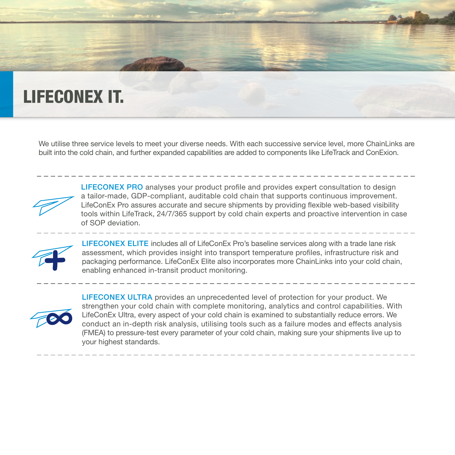### LIFECONEX IT.

We utilise three service levels to meet your diverse needs. With each successive service level, more ChainLinks are built into the cold chain, and further expanded capabilities are added to components like LifeTrack and ConExion.



 LIFECONEX PRO analyses your product profile and provides expert consultation to design a tailor-made, GDP-compliant, auditable cold chain that supports continuous improvement. LifeConEx Pro assures accurate and secure shipments by providing flexible web-based visibility tools within LifeTrack, 24/7/365 support by cold chain experts and proactive intervention in case of SOP deviation.



 LIFECONEX ELITE includes all of LifeConEx Pro's baseline services along with a trade lane risk assessment, which provides insight into transport temperature profiles, infrastructure risk and packaging performance. LifeConEx Elite also incorporates more ChainLinks into your cold chain, enabling enhanced in-transit product monitoring.



 LIFECONEX ULTRA provides an unprecedented level of protection for your product. We strengthen your cold chain with complete monitoring, analytics and control capabilities. With LifeConEx Ultra, every aspect of your cold chain is examined to substantially reduce errors. We conduct an in-depth risk analysis, utilising tools such as a failure modes and effects analysis (FMEA) to pressure-test every parameter of your cold chain, making sure your shipments live up to your highest standards.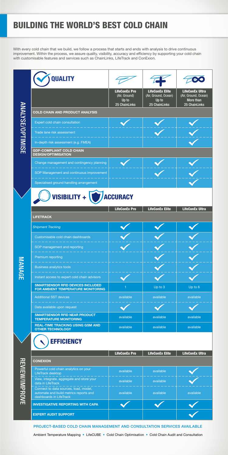| <b>QUALITY</b>                                                                 |                                                                 |                                                                          |                                                                              |
|--------------------------------------------------------------------------------|-----------------------------------------------------------------|--------------------------------------------------------------------------|------------------------------------------------------------------------------|
|                                                                                | <b>LifeConEx Pro</b><br>(Air, Ground)<br>Up to<br>25 ChainLinks | <b>LifeConEx Elite</b><br>(Air, Ground, Ocean)<br>Up to<br>25 ChainLinks | <b>LifeConEx Ultra</b><br>(Air, Ground, Ocean)<br>More than<br>25 ChainLinks |
| <b>COLD CHAIN AND PRODUCT ANALYSIS</b>                                         |                                                                 |                                                                          |                                                                              |
| Expert cold chain consultation                                                 |                                                                 |                                                                          |                                                                              |
| Trade lane risk assessment                                                     |                                                                 |                                                                          |                                                                              |
| In-depth risk assessment (e.g. FMEA)                                           |                                                                 |                                                                          |                                                                              |
| <b>GDP-COMPLIANT COLD CHAIN</b><br><b>DESIGN/OPTIMISATION</b>                  |                                                                 |                                                                          |                                                                              |
| Change management and contingency planning                                     |                                                                 |                                                                          |                                                                              |
| SOP Management and continuous improvement                                      |                                                                 |                                                                          |                                                                              |
| Specialised ground handling arrangement                                        |                                                                 |                                                                          |                                                                              |
|                                                                                |                                                                 |                                                                          |                                                                              |
| VISIBILITY +                                                                   | <b>ACCURACY</b>                                                 |                                                                          |                                                                              |
| <b>LIFETRACK</b>                                                               | <b>LifeConEx Pro</b>                                            | <b>LifeConEx Elite</b>                                                   | <b>LifeConEx Ultra</b>                                                       |
| <b>Shipment Tracking</b>                                                       |                                                                 |                                                                          |                                                                              |
| Customisable cold chain dashboards                                             |                                                                 |                                                                          |                                                                              |
| SOP management and reporting                                                   |                                                                 |                                                                          |                                                                              |
| Premium reporting                                                              |                                                                 |                                                                          |                                                                              |
| <b>Business analytics tools</b>                                                |                                                                 |                                                                          |                                                                              |
| Instant access to expert cold chain advisors                                   |                                                                 |                                                                          |                                                                              |
| <b>SMARTSENSOR RFID DEVICES INCLUDED</b><br>FOR AMBIENT TEMPERATURE MONITORING | 1                                                               | Up to 3                                                                  | Up to 6                                                                      |
| <b>Additional SST devices</b>                                                  | available                                                       | available                                                                | available                                                                    |
| Data available upon request                                                    |                                                                 |                                                                          |                                                                              |
| <b>SMARTSENSOR RFID NEAR PRODUCT</b><br><b>TEMPERATURE MONITORING</b>          | available                                                       | available                                                                | available                                                                    |

**MANAGE** 



|                                                                                                            | <b>LifeConEx Pro</b> | <b>LifeConEx Elite</b> | <b>LifeConEx Ultra</b> |
|------------------------------------------------------------------------------------------------------------|----------------------|------------------------|------------------------|
| <b>CONEXION</b>                                                                                            |                      |                        |                        |
| Powerful cold chain analytics on your<br>LifeTrack desktop                                                 | available            | available              |                        |
| View, integrate, aggregate and store your<br>data in LifeTrack                                             | available            | available              |                        |
| Connect to data sources, load, model,<br>automate and build metrics reports and<br>dashboards in LifeTrack | available            | available              | available              |
| <b>INVESTIGATIVE REPORTING WITH CAPA</b>                                                                   |                      |                        |                        |
| <b>EXPERT AUDIT SUPPORT</b>                                                                                |                      |                        |                        |

### BUILDING THE WORLD'S BEST COLD CHAIN

With every cold chain that we build, we follow a process that starts and ends with analysis to drive continuous improvement. Within the process, we assure quality, visibility, accuracy and efficiency by supporting your cold chain with customisable features and services such as ChainLinks, LifeTrack and ConExion.

#### PROJECT-BASED COLD CHAIN MANAGEMENT AND CONSULTATION SERVICES AVAILABLE

Ambient Temperature Mapping • LifeCUBE • Cold Chain Optimisation • Cold Chain Audit and Consultation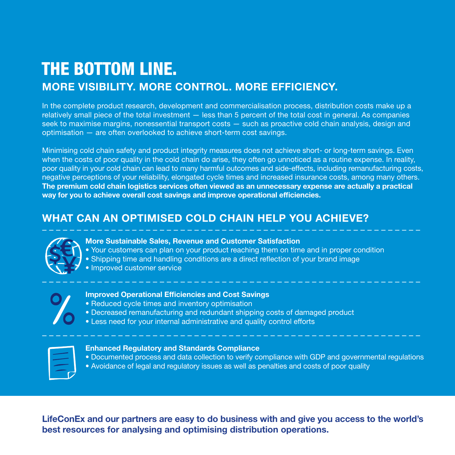### THE BOTTOM LINE. MORE VISIBILITY. MORE CONTROL. MORE EFFICIENCY.

In the complete product research, development and commercialisation process, distribution costs make up a relatively small piece of the total investment — less than 5 percent of the total cost in general. As companies seek to maximise margins, nonessential transport costs — such as proactive cold chain analysis, design and optimisation — are often overlooked to achieve short-term cost savings.

Minimising cold chain safety and product integrity measures does not achieve short- or long-term savings. Even when the costs of poor quality in the cold chain do arise, they often go unnoticed as a routine expense. In reality, poor quality in your cold chain can lead to many harmful outcomes and side-effects, including remanufacturing costs, negative perceptions of your reliability, elongated cycle times and increased insurance costs, among many others. The premium cold chain logistics services often viewed as an unnecessary expense are actually a practical way for you to achieve overall cost savings and improve operational efficiencies.

#### WHAT CAN AN OPTIMISED COLD CHAIN HELP YOU ACHIEVE?



#### More Sustainable Sales, Revenue and Customer Satisfaction

- Your customers can plan on your product reaching them on time and in proper condition
- Shipping time and handling conditions are a direct reflection of your brand image
- Improved customer service



#### Improved Operational Efficiencies and Cost Savings

- Reduced cycle times and inventory optimisation
- Decreased remanufacturing and redundant shipping costs of damaged product
- Less need for your internal administrative and quality control efforts

#### Enhanced Regulatory and Standards Compliance

- Documented process and data collection to verify compliance with GDP and governmental regulations
- Avoidance of legal and regulatory issues as well as penalties and costs of poor quality

LifeConEx and our partners are easy to do business with and give you access to the world's best resources for analysing and optimising distribution operations.